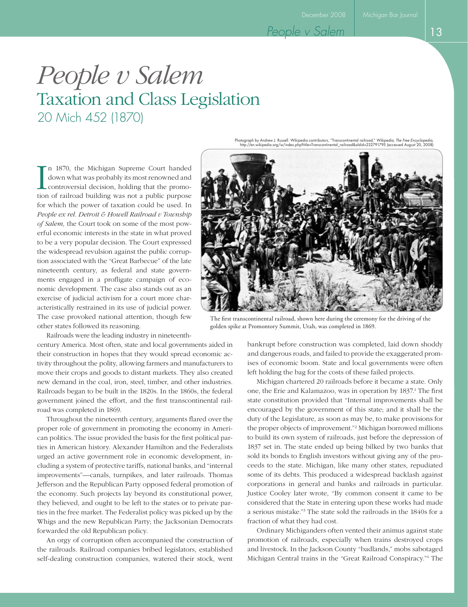## *People v Salem*

## *People v Salem* Taxation and Class Legislation

20 Mich 452 (1870)

Photograph by Andrew J. Russell. Wikipedia contributors, "Transcontinental railroad," Wikipedia, The Free Encyclopedia,<br>http://en.wikipedia.org/w/index.php?title=Transcontinental\_railroad&oldid=232791795 (accessed August 2

In 1870, the Michigan Supreme Court handed<br>down what was probably its most renowned and<br>controversial decision, holding that the promo-<br>tion of railroad building was not a public purpose n 1870, the Michigan Supreme Court handed down what was probably its most renowned and controversial decision, holding that the promofor which the power of taxation could be used. In *People ex rel. Detroit & Howell Railroad v Township of Salem,* the Court took on some of the most powerful economic interests in the state in what proved to be a very popular decision. The Court expressed the widespread revulsion against the public corruption associated with the "Great Barbecue" of the late nineteenth century, as federal and state governments engaged in a profligate campaign of economic development. The case also stands out as an exercise of judicial activism for a court more characteristically restrained in its use of judicial power. The case provoked national attention, though few other states followed its reasoning.



The first transcontinental railroad, shown here during the ceremony for the driving of the golden spike at Promontory Summit, Utah, was completed in 1869.

Railroads were the leading industry in nineteenth-

century America. Most often, state and local governments aided in their construction in hopes that they would spread economic activity throughout the polity, allowing farmers and manufacturers to move their crops and goods to distant markets. They also created new demand in the coal, iron, steel, timber, and other industries. Railroads began to be built in the 1820s. In the 1860s, the federal government joined the effort, and the first transcontinental railroad was completed in 1869.

Throughout the nineteenth century, arguments flared over the proper role of government in promoting the economy in American politics. The issue provided the basis for the first political parties in American history. Alexander Hamilton and the Federalists urged an active government role in economic development, including a system of protective tariffs, national banks, and "internal improvements"—canals, turnpikes, and later railroads. Thomas Jefferson and the Republican Party opposed federal promotion of the economy. Such projects lay beyond its constitutional power, they believed, and ought to be left to the states or to private parties in the free market. The Federalist policy was picked up by the Whigs and the new Republican Party; the Jacksonian Democrats forwarded the old Republican policy.

An orgy of corruption often accompanied the construction of the railroads. Railroad companies bribed legislators, established self-dealing construction companies, watered their stock, went

bankrupt before construction was completed, laid down shoddy and dangerous roads, and failed to provide the exaggerated promises of economic boom. State and local governments were often left holding the bag for the costs of these failed projects.

Michigan chartered 20 railroads before it became a state. Only one, the Erie and Kalamazoo, was in operation by 1837.<sup>1</sup> The first state constitution provided that "Internal improvements shall be encouraged by the government of this state; and it shall be the duty of the Legislature, as soon as may be, to make provisions for the proper objects of improvement."2 Michigan borrowed millions to build its own system of railroads, just before the depression of 1837 set in. The state ended up being bilked by two banks that sold its bonds to English investors without giving any of the proceeds to the state. Michigan, like many other states, repudiated some of its debts. This produced a widespread backlash against corporations in general and banks and railroads in particular. Justice Cooley later wrote, "By common consent it came to be considered that the State in entering upon these works had made a serious mistake."3 The state sold the railroads in the 1840s for a fraction of what they had cost.

Ordinary Michiganders often vented their animus against state promotion of railroads, especially when trains destroyed crops and livestock. In the Jackson County "badlands," mobs sabotaged Michigan Central trains in the "Great Railroad Conspiracy."4 The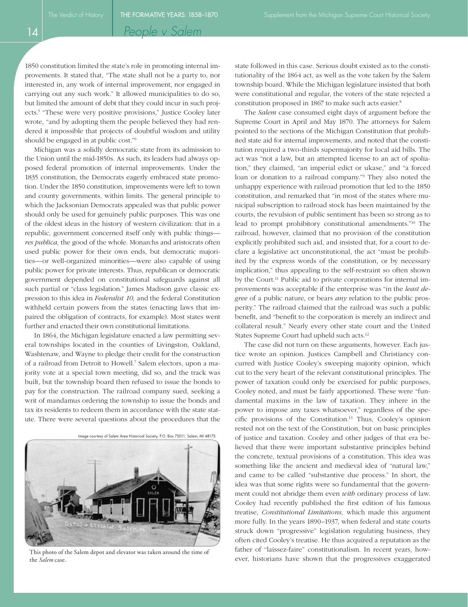*People v Salem*

1850 constitution limited the state's role in promoting internal improvements. It stated that, "The state shall not be a party to, nor interested in, any work of internal improvement, nor engaged in carrying out any such work." It allowed municipalities to do so, but limited the amount of debt that they could incur in such projects.<sup>5</sup> "These were very positive provisions," Justice Cooley later wrote, "and by adopting them the people believed they had rendered it impossible that projects of doubtful wisdom and utility should be engaged in at public cost."6

Michigan was a solidly democratic state from its admission to the Union until the mid-1850s. As such, its leaders had always opposed federal promotion of internal improvements. Under the 1835 constitution, the Democrats eagerly embraced state promotion. Under the 1850 constitution, improvements were left to town and county governments, within limits. The general principle to which the Jacksonian Democrats appealed was that public power should only be used for genuinely public purposes. This was one of the oldest ideas in the history of western civilization: that in a republic, government concerned itself only with public things *res publica,* the good of the whole. Monarchs and aristocrats often used public power for their own ends, but democratic majorities—or well-organized minorities—were also capable of using public power for private interests. Thus, republican or democratic government depended on constitutional safeguards against all such partial or "class legislation." James Madison gave classic expression to this idea in *Federalist 10,* and the federal Constitution withheld certain powers from the states (enacting laws that impaired the obligation of contracts, for example). Most states went further and enacted their own constitutional limitations.

In 1864, the Michigan legislature enacted a law permitting several townships located in the counties of Livingston, Oakland, Washtenaw, and Wayne to pledge their credit for the construction of a railroad from Detroit to Howell.<sup>7</sup> Salem electors, upon a majority vote at a special town meeting, did so, and the track was built, but the township board then refused to issue the bonds to pay for the construction. The railroad company sued, seeking a writ of mandamus ordering the township to issue the bonds and tax its residents to redeem them in accordance with the state statute. There were several questions about the procedures that the

Ie courtesy of Salem Area Historical Society, P.O. Box 75011, Salem, MI 48175



This photo of the Salem depot and elevator was taken around the time of the *Salem* case.

state followed in this case. Serious doubt existed as to the constitutionality of the 1864 act, as well as the vote taken by the Salem township board. While the Michigan legislature insisted that both were constitutional and regular, the voters of the state rejected a constitution proposed in 1867 to make such acts easier.8

The *Salem* case consumed eight days of argument before the Supreme Court in April and May 1870. The attorneys for Salem pointed to the sections of the Michigan Constitution that prohibited state aid for internal improvements, and noted that the constitution required a two-thirds supermajority for local aid bills. The act was "not a law, but an attempted license to an act of spoliation," they claimed, "an imperial edict or ukase," and "a forced loan or donation to a railroad company."9 They also noted the unhappy experience with railroad promotion that led to the 1850 constitution, and remarked that "in most of the states where municipal subscription to railroad stock has been maintained by the courts, the revulsion of public sentiment has been so strong as to lead to prompt prohibitory constitutional amendments."10 The railroad, however, claimed that no provision of the constitution explicitly prohibited such aid, and insisted that, for a court to declare a legislative act unconstitutional, the act "must be prohibited by the express words of the constitution, or by necessary implication," thus appealing to the self-restraint so often shown by the Court.<sup>11</sup> Public aid to private corporations for internal improvements was acceptable if the enterprise was "in the *least degree* of a public nature, or bears *any* relation to the public prosperity." The railroad claimed that the railroad was such a public benefit, and "benefit to the corporation is merely an indirect and collateral result." Nearly every other state court and the United States Supreme Court had upheld such acts.12

The case did not turn on these arguments, however. Each justice wrote an opinion. Justices Campbell and Christiancy concurred with Justice Cooley's sweeping majority opinion, which cut to the very heart of the relevant constitutional principles. The power of taxation could only be exercised for public purposes, Cooley noted, and must be fairly apportioned. These were "fundamental maxims in the law of taxation. They inhere in the power to impose any taxes whatsoever," regardless of the specific provisions of the Constitution.13 Thus, Cooley's opinion rested not on the text of the Constitution, but on basic principles of justice and taxation. Cooley and other judges of that era believed that there were important substantive principles behind the concrete, textual provisions of a constitution. This idea was something like the ancient and medieval idea of "natural law," and came to be called "substantive due process." In short, the idea was that some rights were so fundamental that the government could not abridge them even *with* ordinary process of law. Cooley had recently published the first edition of his famous treatise, *Constitutional Limitations,* which made this argument more fully. In the years 1890–1937, when federal and state courts struck down "progressive" legislation regulating business, they often cited Cooley's treatise. He thus acquired a reputation as the father of "laissez-faire" constitutionalism. In recent years, however, historians have shown that the progressives exaggerated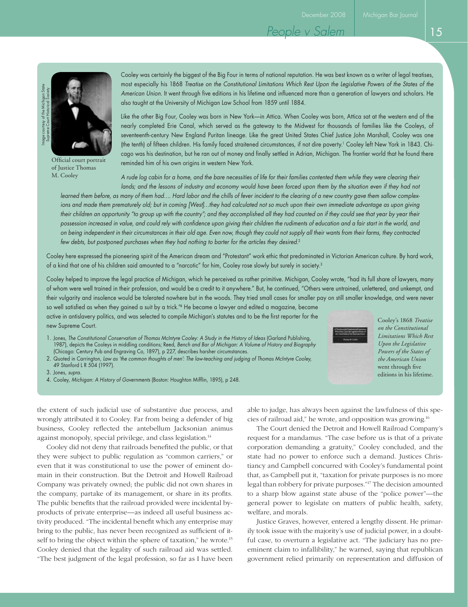

Official court portrait of Justice Thomas M. Cooley

Cooley was certainly the biggest of the Big Four in terms of national reputation. He was best known as a writer of legal treatises, most especially his 1868 *Treatise on the Constitutional Limitations Which Rest Upon the Legislative Powers of the States of the American Union.* It went through five editions in his lifetime and influenced more than a generation of lawyers and scholars. He also taught at the University of Michigan Law School from 1859 until 1884.

Like the other Big Four, Cooley was born in New York—in Attica. When Cooley was born, Attica sat at the western end of the nearly completed Erie Canal, which served as the gateway to the Midwest for thousands of families like the Cooleys, of seventeenth-century New England Puritan lineage. Like the great United States Chief Justice John Marshall, Cooley was one (the tenth) of fifteen children. His family faced straitened circumstances, if not dire poverty.<sup>1</sup> Cooley left New York in 1843. Chicago was his destination, but he ran out of money and finally settled in Adrian, Michigan. The frontier world that he found there reminded him of his own origins in western New York.

*A rude log cabin for a home, and the bare necessities of life for their families contented them while they were clearing their*  lands; and the lessons of industry and economy would have been forced upon them by the situation even if they had not

*learned them before, as many of them had…. Hard labor and the chills of fever incident to the clearing of a new country gave them sallow complex*ions and made them prematurely old; but in coming [West]…they had calculated not so much upon their own immediate advantage as upon giving their children an opportunity "to group up with the country"; and they accomplished all they had counted on if they could see that year by year their *possession increased in value, and could rely with confidence upon giving their children the rudiments of education and a fair start in the world, and on being independent in their circumstances in their old age. Even now, though they could not supply all their wants from their farms, they contracted few debts, but postponed purchases when they had nothing to barter for the articles they desired.*<sup>2</sup>

Cooley here expressed the pioneering spirit of the American dream and "Protestant" work ethic that predominated in Victorian American culture. By hard work, of a kind that one of his children said amounted to a "narcotic" for him, Cooley rose slowly but surely in society.<sup>3</sup>

Cooley helped to improve the legal practice of Michigan, which he perceived as rather primitive. Michigan, Cooley wrote, "had its full share of lawyers, many of whom were well trained in their profession, and would be a credit to it anywhere." But, he continued, "Others were untrained, unlettered, and unkempt, and their vulgarity and insolence would be tolerated nowhere but in the woods. They tried small cases for smaller pay on still smaller knowledge, and were never so well satisfied as when they gained a suit by a trick."<sup>4</sup> He became a lawyer and edited a magazine, became

active in antislavery politics, and was selected to compile Michigan's statutes and to be the first reporter for the new Supreme Court.

- 1. Jones, *The Constitutional Conservatism of Thomas McIntyre Cooley: A Study in the History of Ideas* (Garland Publishing, 1987), depicts the Cooleys in middling conditions; Reed, *Bench and Bar of Michigan: A Volume of History and Biography*  (Chicago: Century Pub and Engraving Co, 1897), p 227, describes harsher circumstances.
- 2. Quoted in Carrington, *Law as 'the common thoughts of men': The law-teaching and judging of Thomas McIntyre Cooley,*  49 Stanford L R 504 (1997).
- 3. Jones, *supra.*
- 4. Cooley, *Michigan: A History of Governments* (Boston: Houghton Mifflin, 1895), p 248.



Cooley's 1868 *Treatise on the Constitutional Limitations Which Rest Upon the Legislative Powers of the States of the American Union* went through five editions in his lifetime.

the extent of such judicial use of substantive due process, and wrongly attributed it to Cooley. Far from being a defender of big business, Cooley reflected the antebellum Jacksonian animus against monopoly, special privilege, and class legislation.<sup>14</sup>

Cooley did not deny that railroads benefited the public, or that they were subject to public regulation as "common carriers," or even that it was constitutional to use the power of eminent domain in their construction. But the Detroit and Howell Railroad Company was privately owned; the public did not own shares in the company, partake of its management, or share in its profits. The public benefits that the railroad provided were incidental byproducts of private enterprise—as indeed all useful business activity produced. "The incidental benefit which any enterprise may bring to the public, has never been recognized as sufficient of itself to bring the object within the sphere of taxation," he wrote.<sup>15</sup> Cooley denied that the legality of such railroad aid was settled. "The best judgment of the legal profession, so far as I have been able to judge, has always been against the lawfulness of this species of railroad aid," he wrote, and opposition was growing.16

The Court denied the Detroit and Howell Railroad Company's request for a mandamus. "The case before us is that of a private corporation demanding a gratuity," Cooley concluded, and the state had no power to enforce such a demand. Justices Christiancy and Campbell concurred with Cooley's fundamental point that, as Campbell put it, "taxation for private purposes is no more legal than robbery for private purposes."17 The decision amounted to a sharp blow against state abuse of the "police power"—the general power to legislate on matters of public health, safety, welfare, and morals.

Justice Graves, however, entered a lengthy dissent. He primarily took issue with the majority's use of judicial power, in a doubtful case, to overturn a legislative act. "The judiciary has no preeminent claim to infallibility," he warned, saying that republican government relied primarily on representation and diffusion of